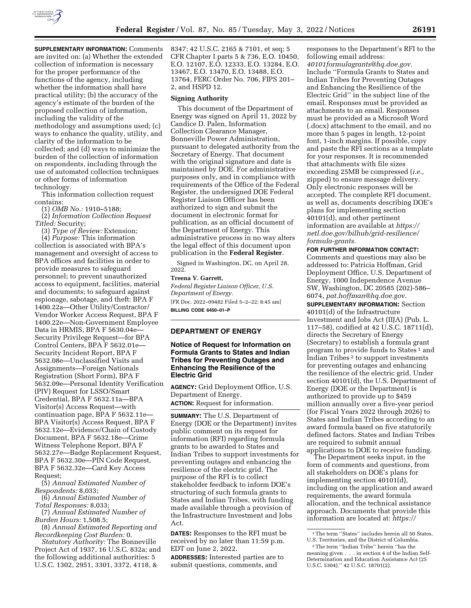

**SUPPLEMENTARY INFORMATION: Comments** are invited on: (a) Whether the extended collection of information is necessary for the proper performance of the functions of the agency, including whether the information shall have practical utility; (b) the accuracy of the agency's estimate of the burden of the proposed collection of information, including the validity of the methodology and assumptions used; (c) ways to enhance the quality, utility, and clarity of the information to be collected; and (d) ways to minimize the burden of the collection of information on respondents, including through the use of automated collection techniques or other forms of information technology.

This information collection request contains:

(1) *OMB No.:* 1910–5188;

(2) *Information Collection Request Titled:* Security;

(3) *Type of Review:* Extension;

(4) *Purpose:* This information collection is associated with BPA's management and oversight of access to BPA offices and facilities in order to provide measures to safeguard personnel; to prevent unauthorized access to equipment, facilities, material and documents; to safeguard against espionage, sabotage, and theft: BPA F 1400.22a—Other Utility/Contractor/ Vendor Worker Access Request, BPA F 1400.22e—Non-Government Employee Data in HRMIS, BPA F 5630.04e— Security Privilege Request—for BPA Control Centers, BPA F 5632.01e— Security Incident Report, BPA F 5632.08e—Unclassified Visits and Assignments—Foreign Nationals Registration (Short Form), BPA F 5632.09e—Personal Identity Verification (PIV) Request for LSSO/Smart Credential, BPA F 5632.11a—BPA Visitor(s) Access Request—with continuation page, BPA F 5632.11e— BPA Visitor(s) Access Request, BPA F 5632.12e—Evidence/Chain of Custody Document, BPA F 5632.18e—Crime Witness Telephone Report, BPA F 5632.27e—Badge Replacement Request, BPA F 5632.30e—PIN Code Request, BPA F 5632.32e—Card Key Access Request;

(5) *Annual Estimated Number of Respondents:* 8,033;

(6) *Annual Estimated Number of Total Responses:* 8,033;

(7) *Annual Estimated Number of Burden Hours:* 1,508.5;

(8) *Annual Estimated Reporting and Recordkeeping Cost Burden:* 0.

*Statutory Authority:* The Bonneville Project Act of 1937, 16 U.S.C. 832a; and the following additional authorities: 5 U.S.C. 1302, 2951, 3301, 3372, 4118, &

8347; 42 U.S.C. 2165 & 7101, et seq; 5 CFR Chapter I parts 5 & 736, E.O. 10450, E.O. 12107, E.O. 12333, E.O. 13284, E.O. 13467, E.O. 13470, E.O. 13488, E.O. 13764, FERC Order No. 706, FIPS 201– 2, and HSPD 12.

#### **Signing Authority**

This document of the Department of Energy was signed on April 11, 2022 by Candice D. Palen, Information Collection Clearance Manager, Bonneville Power Administration, pursuant to delegated authority from the Secretary of Energy. That document with the original signature and date is maintained by DOE. For administrative purposes only, and in compliance with requirements of the Office of the Federal Register, the undersigned DOE Federal Register Liaison Officer has been authorized to sign and submit the document in electronic format for publication, as an official document of the Department of Energy. This administrative process in no way alters the legal effect of this document upon publication in the **Federal Register**.

Signed in Washington, DC, on April 28, 2022.

# **Treena V. Garrett,**

*Federal Register Liaison Officer, U.S. Department of Energy.*  [FR Doc. 2022–09482 Filed 5–2–22; 8:45 am]

**BILLING CODE 6450–01–P** 

## **DEPARTMENT OF ENERGY**

# **Notice of Request for Information on Formula Grants to States and Indian Tribes for Preventing Outages and Enhancing the Resilience of the Electric Grid**

**AGENCY:** Grid Deployment Office, U.S. Department of Energy. **ACTION:** Request for information.

**SUMMARY:** The U.S. Department of Energy (DOE or the Department) invites public comment on its request for information (RFI) regarding formula grants to be awarded to States and Indian Tribes to support investments for preventing outages and enhancing the resilience of the electric grid. The purpose of the RFI is to collect stakeholder feedback to inform DOE's structuring of such formula grants to States and Indian Tribes, with funding made available through a provision of the Infrastructure Investment and Jobs Act.

**DATES:** Responses to the RFI must be received by no later than 11:59 p.m. EDT on June 2, 2022.

**ADDRESSES:** Interested parties are to submit questions, comments, and

responses to the Department's RFI to the following email address:

*[40101formulagrants@hq.doe.gov.](mailto:40101formulagrants@hq.doe.gov)*  Include ''Formula Grants to States and Indian Tribes for Preventing Outages and Enhancing the Resilience of the Electric Grid'' in the subject line of the email. Responses must be provided as attachments to an email. Responses must be provided as a Microsoft Word (.docx) attachment to the email, and no more than 5 pages in length, 12-point font, 1-inch margins. If possible, copy and paste the RFI sections as a template for your responses. It is recommended that attachments with file sizes exceeding 25MB be compressed (*i.e.,*  zipped) to ensure message delivery. Only electronic responses will be accepted. The complete RFI document, as well as, documents describing DOE's plans for implementing section 40101(d), and other pertinent information are available at *[https://](https://netl.doe.gov/bilhub/grid-resilience/formula-grants) [netl.doe.gov/bilhub/grid-resilience/](https://netl.doe.gov/bilhub/grid-resilience/formula-grants) [formula-grants.](https://netl.doe.gov/bilhub/grid-resilience/formula-grants)* 

# **FOR FURTHER INFORMATION CONTACT:**

Comments and questions may also be addressed to: Patricia Hoffman, Grid Deployment Office, U.S. Department of Energy, 1000 Independence Avenue SW, Washington, DC 20585 (202)-586– 6074, *[pat.hoffman@hq.doe.gov.](mailto:pat.hoffman@hq.doe.gov)* 

**SUPPLEMENTARY INFORMATION:** Section 40101(d) of the Infrastructure Investment and Jobs Act (IIJA) (Pub. L. 117–58), codified at 42 U.S.C. 18711(d), directs the Secretary of Energy (Secretary) to establish a formula grant program to provide funds to States 1 and Indian Tribes 2 to support investments for preventing outages and enhancing the resilience of the electric grid. Under section 40101(d), the U.S. Department of Energy (DOE or the Department) is authorized to provide up to \$459 million annually over a five-year period (for Fiscal Years 2022 through 2026) to States and Indian Tribes according to an award formula based on five statutorily defined factors. States and Indian Tribes are required to submit annual applications to DOE to receive funding.

The Department seeks input, in the form of comments and questions, from all stakeholders on DOE's plans for implementing section 40101(d), including on the application and award requirements, the award formula allocation, and the technical assistance approach. Documents that provide this information are located at: *[https://](https://netl.doe.gov/bilhub/grid-resilience/formula-grants)* 

<sup>&</sup>lt;sup>1</sup>The term "States" includes herein all 50 States, U.S. Territories, and the District of Columbia.

<sup>2</sup>The term ''Indian Tribe'' herein ''has the meaning given . . . in section 4 of the Indian Self-Determination and Education Assistance Act (25 U.S.C. 5304).'' 42 U.S.C. 18701(2).